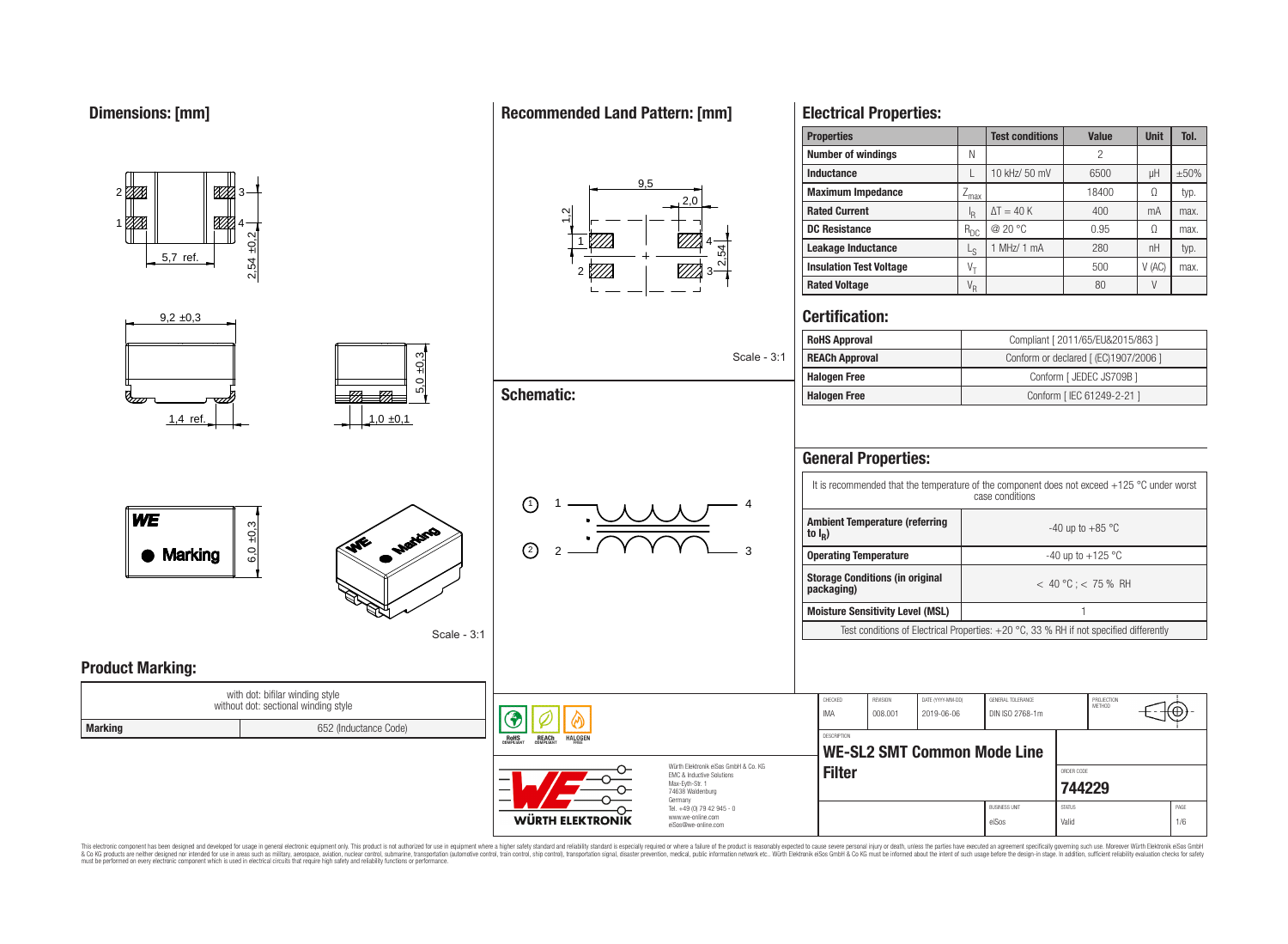1

777.

**Product Marking:**

2,54 ±0,2

4

<u>87%</u>

**MA** 

## **Recommended Land Pattern: [mm]**



| $\frac{5.7 \text{ ref.}}{2}$<br>2,54                                       |             | $2 \sqrt[m]{\frac{1}{2}}$               |                                                                                                                | <b>Insulation Test Voltage</b>          |                     | $V_T$                           |                                      | 500                                   | V(AC)  | max.                  |
|----------------------------------------------------------------------------|-------------|-----------------------------------------|----------------------------------------------------------------------------------------------------------------|-----------------------------------------|---------------------|---------------------------------|--------------------------------------|---------------------------------------|--------|-----------------------|
|                                                                            |             |                                         |                                                                                                                | <b>Rated Voltage</b>                    |                     | $V_R$                           |                                      | 80                                    | $\vee$ |                       |
| $9,2 \pm 0,3$                                                              |             |                                         |                                                                                                                | <b>Certification:</b>                   |                     |                                 |                                      |                                       |        |                       |
|                                                                            |             |                                         |                                                                                                                | <b>RoHS Approval</b>                    |                     |                                 |                                      | Compliant [ 2011/65/EU&2015/863 ]     |        |                       |
|                                                                            | ო<br>넹      |                                         | Scale - 3:1                                                                                                    | <b>REACh Approval</b>                   |                     |                                 |                                      | Conform or declared [ (EC)1907/2006 ] |        |                       |
|                                                                            | ○           |                                         |                                                                                                                | <b>Halogen Free</b>                     |                     |                                 |                                      | Conform [ JEDEC JS709B ]              |        |                       |
|                                                                            | மி          | <b>Schematic:</b>                       | <b>Halogen Free</b>                                                                                            |                                         |                     |                                 | Conform [IEC 61249-2-21]             |                                       |        |                       |
| $1,4$ ref.                                                                 | 1,0,0,1     |                                         |                                                                                                                |                                         |                     |                                 |                                      |                                       |        |                       |
|                                                                            |             |                                         |                                                                                                                | <b>General Properties:</b>              |                     |                                 |                                      |                                       |        |                       |
| <b>WE</b><br>$\pm 0.3$<br>Maritim<br>$\mathbf{v}$<br>6.0<br><b>Marking</b> |             | $\odot$                                 | It is recommended that the temperature of the component does not exceed +125 °C under worst<br>case conditions |                                         |                     |                                 |                                      |                                       |        |                       |
|                                                                            |             |                                         | <b>Ambient Temperature (referring</b><br>to $I_R$ )                                                            |                                         |                     | -40 up to +85 $^{\circ}$ C      |                                      |                                       |        |                       |
|                                                                            | $\Omega$    | <b>Operating Temperature</b>            |                                                                                                                |                                         |                     | -40 up to +125 $^{\circ}$ C     |                                      |                                       |        |                       |
|                                                                            |             |                                         | <b>Storage Conditions (in original</b><br>packaging)                                                           |                                         |                     | $< 40 °C$ ; < 75 % RH           |                                      |                                       |        |                       |
|                                                                            |             |                                         |                                                                                                                | <b>Moisture Sensitivity Level (MSL)</b> |                     |                                 |                                      | $\overline{1}$                        |        |                       |
|                                                                            | Scale - 3:1 |                                         | Test conditions of Electrical Properties: +20 °C, 33 % RH if not specified differently                         |                                         |                     |                                 |                                      |                                       |        |                       |
| <b>Product Marking:</b><br>with dot: bifilar winding style                 |             |                                         |                                                                                                                |                                         |                     |                                 |                                      |                                       |        |                       |
| without dot: sectional winding style                                       |             |                                         |                                                                                                                | CHECKED<br>IMA                          | REVISION<br>008.001 | DATE (YYYY-MM-DD)<br>2019-06-06 | GENERAL TOLERANCE<br>DIN ISO 2768-1m | PROJECTION<br>METHOD                  |        | $\left(\oplus\right)$ |
| <b>Marking</b><br>652 (Inductance Code)                                    |             | <b>RoHS</b><br>COMPLIAN<br><b>REACh</b> | <b>DESCRIPTION</b><br><b>WE-SL2 SMT Common Mode Line</b><br><b>Filter</b>                                      |                                         |                     |                                 |                                      |                                       |        |                       |
|                                                                            |             |                                         |                                                                                                                |                                         |                     |                                 | ORDER CODE<br>744229                 |                                       |        |                       |
|                                                                            |             |                                         | Germany<br>Tel. +49 (0) 79 42 945 - 0                                                                          |                                         |                     |                                 | <b>BUSINESS UNIT</b>                 | <b>STATUS</b>                         |        | PAGE                  |
|                                                                            |             | <b>WÜRTH ELEKTRONIK</b>                 | www.we-online.com<br>eiSos@we-online.com                                                                       |                                         |                     |                                 | eiSos                                | Valid                                 |        | 1/6                   |

**Properties Test conditions Value Unit V** 

**Inductance** L 10 kHz/ 50 mV 6500 μH ±50%<br> **Maximum Impedance** Z<sub>max</sub> 18400 Ω typ. **Maximum Impedance**  $\left| \right| \left| \right|$   $\left| \right|$   $\left| \right|$   $\left| \right|$   $\left| \right|$   $\left| \right|$   $\left| \right|$   $\left| \right|$   $\left| \right|$   $\left| \right|$   $\left| \right|$   $\left| \right|$   $\left| \right|$   $\left| \right|$   $\left| \right|$   $\left| \right|$   $\left| \right|$   $\left| \right|$   $\left| \right|$   $\left| \right|$   $\left| \right|$   $\left| \right$ 

**DC Resistance** R<sub>DC</sub> @ 20 °C 0.95 Ω max.

 $\Delta T = 40 \text{ K}$  400 mA max.

 $11 MHz/ 1 mA$  280  $H$  nH typ.

**Number of windings** N N N N 2

 $\frac{I_R}{R_{Df}}$ 

 $\mathsf{L}\circ$ 

**Rated Current** 

**Leakage Inductance** L

**Electrical Properties:**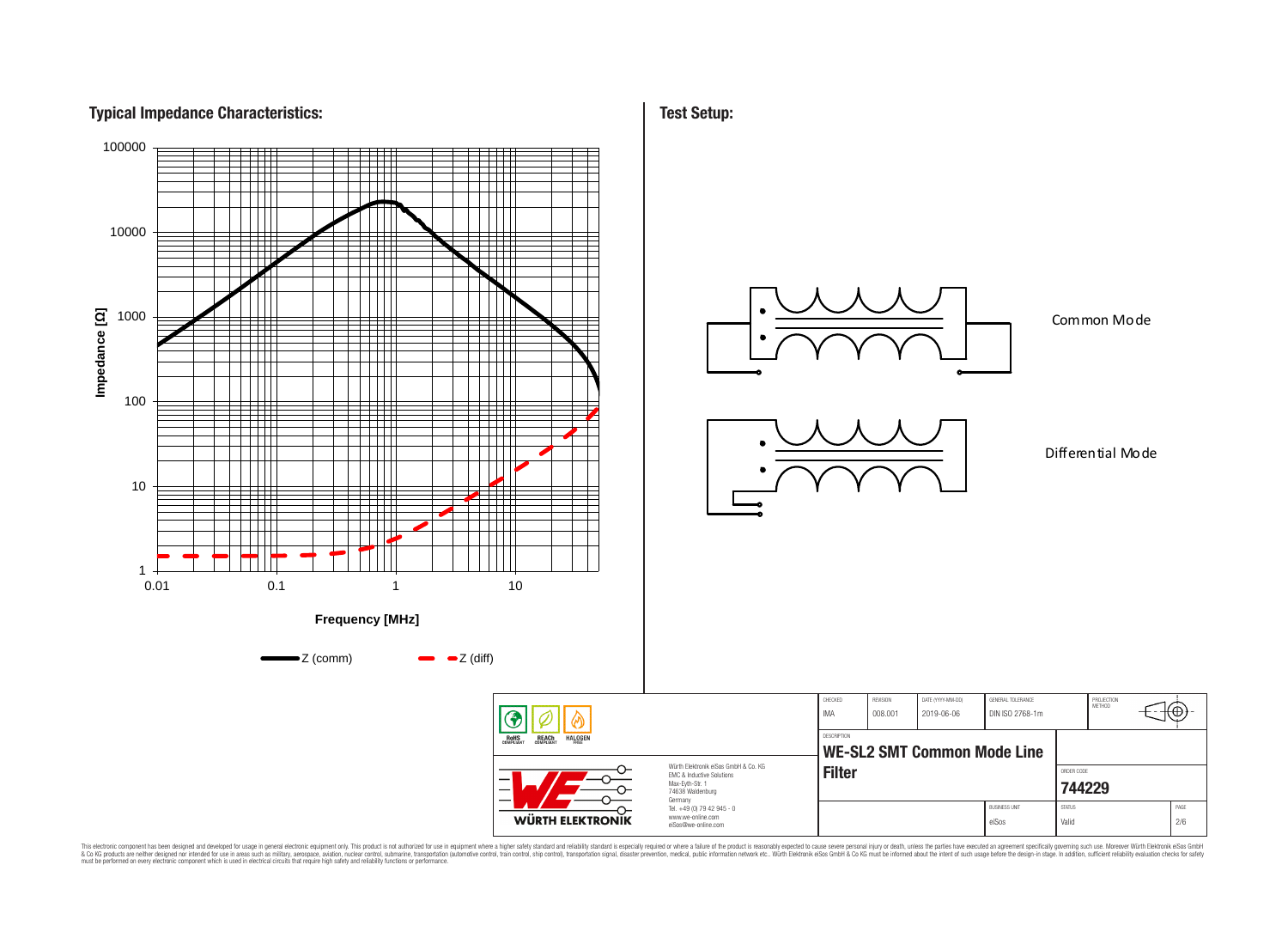## **Typical Impedance Characteristics:**



**Test Setup:**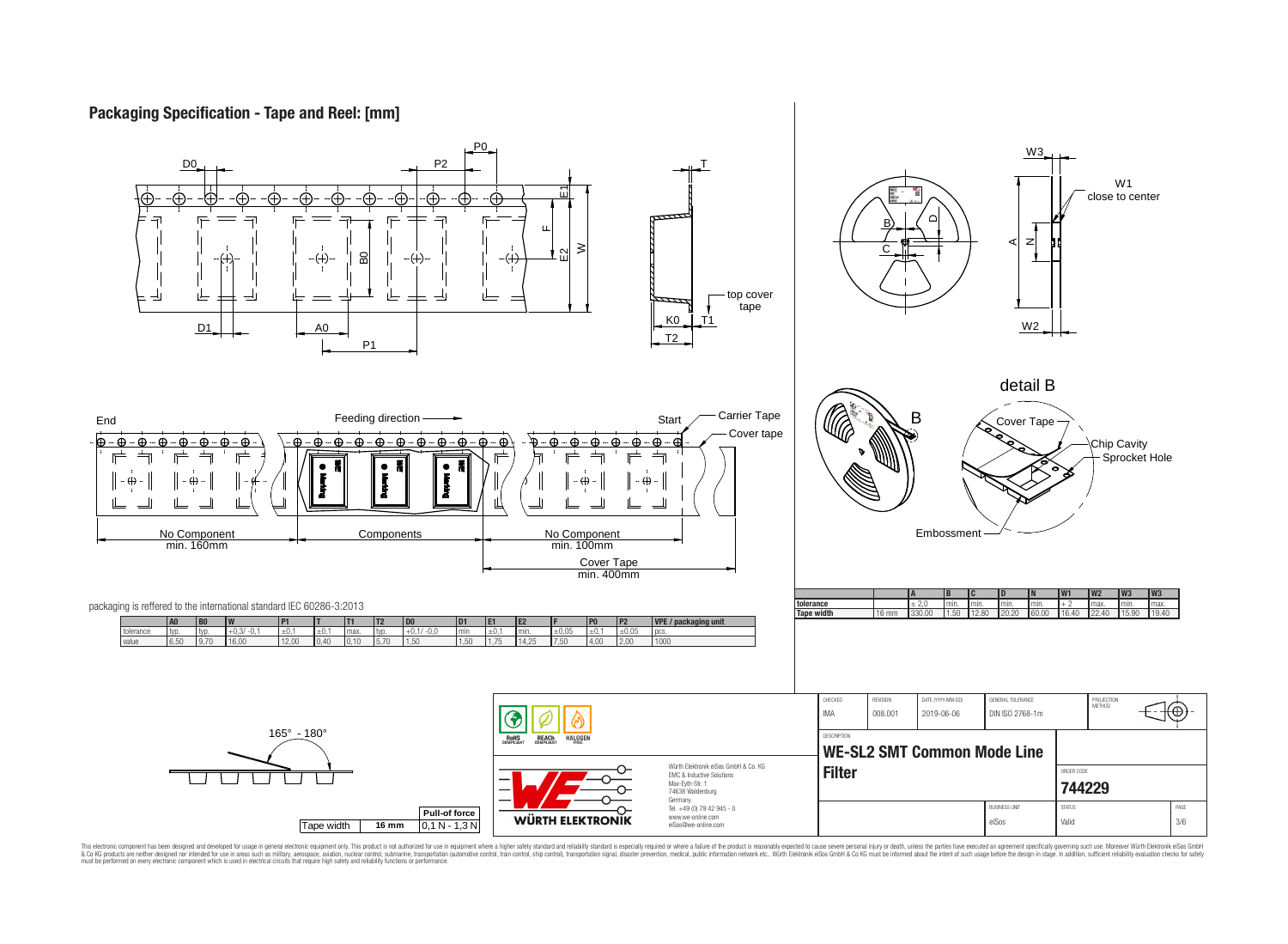# **Packaging Specification - Tape and Reel: [mm]**

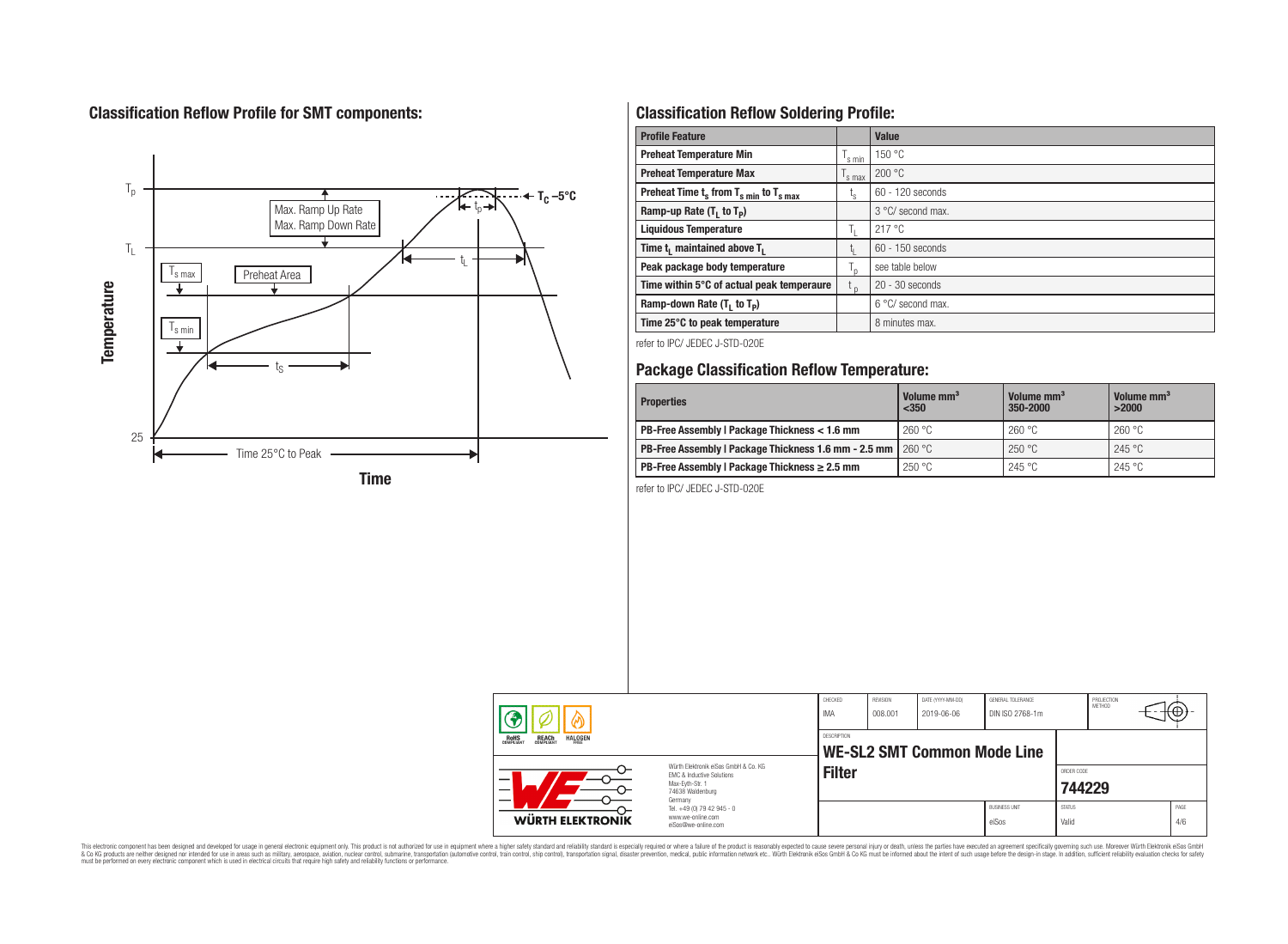# **Classification Reflow Profile for SMT components:**



# **Classification Reflow Soldering Profile:**

| <b>Profile Feature</b>                              |                    | <b>Value</b>      |
|-----------------------------------------------------|--------------------|-------------------|
| <b>Preheat Temperature Min</b>                      | $\mathsf{I}$ s min | 150 °C            |
| <b>Preheat Temperature Max</b>                      | s max              | 200 °C            |
| Preheat Time $t_s$ from $T_{s,min}$ to $T_{s,max}$  | ι <sub>s</sub>     | 60 - 120 seconds  |
| Ramp-up Rate $(T_1$ to $T_p$ )                      |                    | 3 °C/ second max. |
| <b>Liquidous Temperature</b>                        | h.                 | 217 °C            |
| Time t <sub>1</sub> maintained above T <sub>1</sub> |                    | 60 - 150 seconds  |
| Peak package body temperature                       |                    | see table below   |
| Time within 5°C of actual peak temperaure           | $t_{p}$            | $20 - 30$ seconds |
| Ramp-down Rate $(T_1$ to $T_p)$                     |                    | 6 °C/ second max. |
| Time 25°C to peak temperature                       |                    | 8 minutes max.    |

refer to IPC/ JEDEC J-STD-020E

# **Package Classification Reflow Temperature:**

| <b>Properties</b>                                                  | Volume mm <sup>3</sup><br>$350$ | Volume mm <sup>3</sup><br>350-2000 | Volume mm <sup>3</sup><br>>2000 |  |
|--------------------------------------------------------------------|---------------------------------|------------------------------------|---------------------------------|--|
| PB-Free Assembly   Package Thickness < 1.6 mm                      | 260 °C                          | 260 °C                             | 260 °C                          |  |
| PB-Free Assembly I Package Thickness 1.6 mm - 2.5 mm $\mid$ 260 °C |                                 | 250 °C                             | 245 °C                          |  |
| PB-Free Assembly   Package Thickness $\geq 2.5$ mm                 | 250 °C                          | 245 °C                             | 245 °C                          |  |

refer to IPC/ JEDEC J-STD-020E

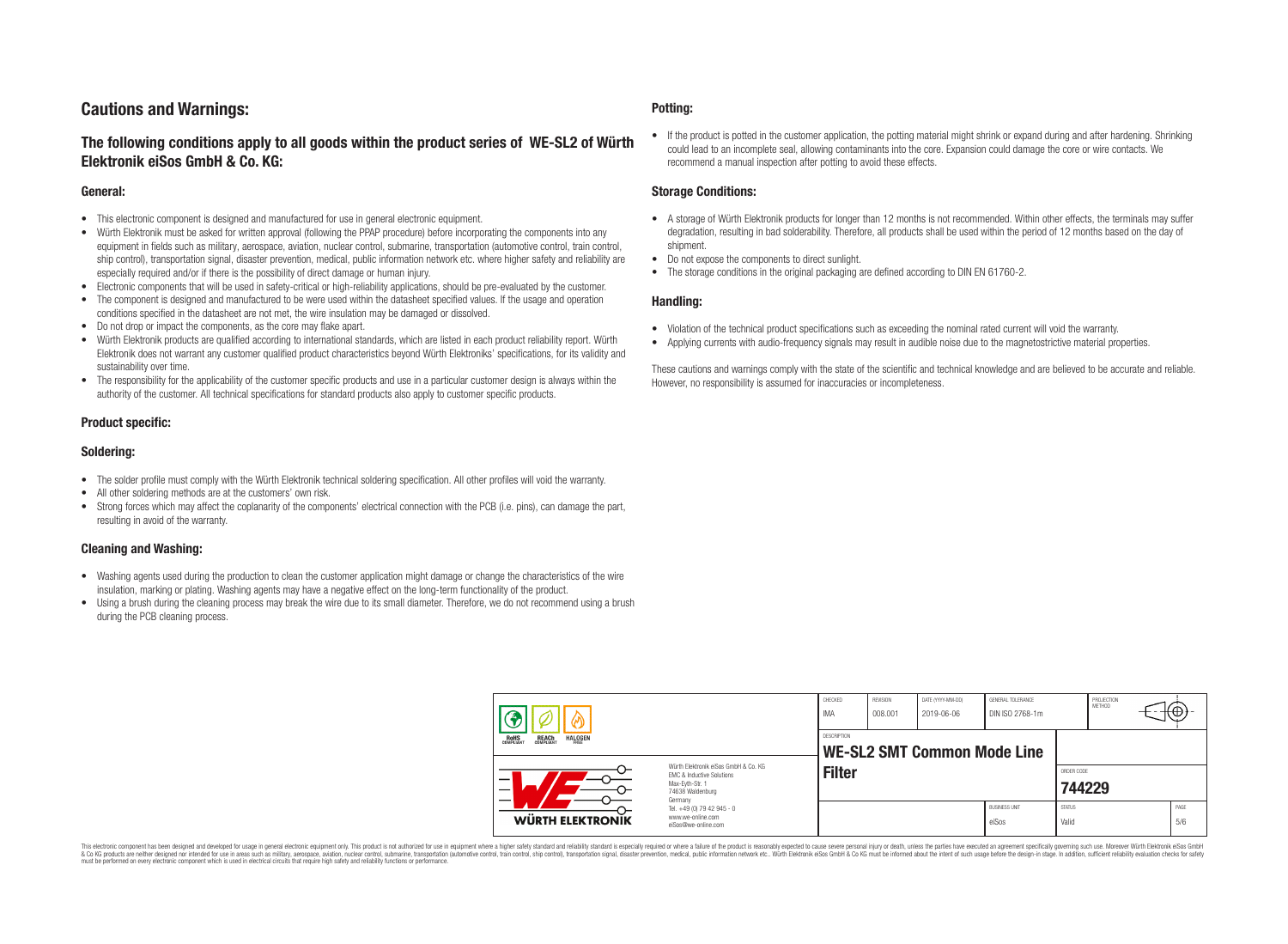## **Cautions and Warnings:**

## **The following conditions apply to all goods within the product series of WE-SL2 of Würth Elektronik eiSos GmbH & Co. KG:**

#### **General:**

- This electronic component is designed and manufactured for use in general electronic equipment.
- Würth Elektronik must be asked for written approval (following the PPAP procedure) before incorporating the components into any equipment in fields such as military, aerospace, aviation, nuclear control, submarine, transportation (automotive control, train control, ship control), transportation signal, disaster prevention, medical, public information network etc. where higher safety and reliability are especially required and/or if there is the possibility of direct damage or human injury.
- Electronic components that will be used in safety-critical or high-reliability applications, should be pre-evaluated by the customer.
- The component is designed and manufactured to be were used within the datasheet specified values. If the usage and operation conditions specified in the datasheet are not met, the wire insulation may be damaged or dissolved.
- Do not drop or impact the components, as the core may flake apart.
- Würth Elektronik products are qualified according to international standards, which are listed in each product reliability report. Würth Elektronik does not warrant any customer qualified product characteristics beyond Würth Elektroniks' specifications, for its validity and sustainability over time.
- The responsibility for the applicability of the customer specific products and use in a particular customer design is always within the authority of the customer. All technical specifications for standard products also apply to customer specific products.

### **Product specific:**

### **Soldering:**

- The solder profile must comply with the Würth Elektronik technical soldering specification. All other profiles will void the warranty.
- All other soldering methods are at the customers' own risk.
- Strong forces which may affect the coplanarity of the components' electrical connection with the PCB (i.e. pins), can damage the part, resulting in avoid of the warranty.

#### **Cleaning and Washing:**

- Washing agents used during the production to clean the customer application might damage or change the characteristics of the wire insulation, marking or plating. Washing agents may have a negative effect on the long-term functionality of the product.
- Using a brush during the cleaning process may break the wire due to its small diameter. Therefore, we do not recommend using a brush during the PCB cleaning process.

#### **Potting:**

• If the product is potted in the customer application, the potting material might shrink or expand during and after hardening. Shrinking could lead to an incomplete seal, allowing contaminants into the core. Expansion could damage the core or wire contacts. We recommend a manual inspection after potting to avoid these effects.

#### **Storage Conditions:**

- A storage of Würth Elektronik products for longer than 12 months is not recommended. Within other effects, the terminals may suffer degradation, resulting in bad solderability. Therefore, all products shall be used within the period of 12 months based on the day of shipment.
- Do not expose the components to direct sunlight.
- The storage conditions in the original packaging are defined according to DIN EN 61760-2.

#### **Handling:**

- Violation of the technical product specifications such as exceeding the nominal rated current will void the warranty.
- Applying currents with audio-frequency signals may result in audible noise due to the magnetostrictive material properties.

These cautions and warnings comply with the state of the scientific and technical knowledge and are believed to be accurate and reliable. However, no responsibility is assumed for inaccuracies or incompleteness.

| <b>HALOGEN</b><br>REACH<br>COMPLIANT<br>ROHS<br>COMPLIANT<br>FRFF |                                                                                                                                | CHECKED<br>IMA | REVISION<br>008.001         | DATE (YYYY-MM-DD)<br>2019-06-06 | GENERAL TOLERANCE<br>DIN ISO 2768-1m |                        | PROJECTION<br><b>METHOD</b> | ₩Ψ |             |
|-------------------------------------------------------------------|--------------------------------------------------------------------------------------------------------------------------------|----------------|-----------------------------|---------------------------------|--------------------------------------|------------------------|-----------------------------|----|-------------|
|                                                                   |                                                                                                                                | DESCRIPTION    | WE-SL2 SMT Common Mode Line |                                 |                                      |                        |                             |    |             |
| -<br>$\overline{\phantom{0}}$                                     | Würth Flektronik eiSos GmbH & Co. KG<br><b>EMC &amp; Inductive Solutions</b><br>Max-Eyth-Str. 1<br>74638 Waldenburg<br>Germany | <b>Filter</b>  |                             |                                 |                                      | ORDER CODE<br>744229   |                             |    |             |
| <b>WÜRTH ELEKTRONIK</b>                                           | Tel. +49 (0) 79 42 945 - 0<br>www.we-online.com<br>eiSos@we-online.com                                                         |                |                             |                                 | <b>BUSINESS UNIT</b><br>eiSos        | <b>STATUS</b><br>Valid |                             |    | PAGE<br>5/6 |

This electronic component has been designed and developed for usage in general electronic equipment only. This product is not authorized for use in equipment where a higher safety standard and reliability standard si espec & Ook product a label and the membed of the seasuch as marked and as which such a membed and the such assume that income in the seasuch and the simulation and the such assume that include to the such a membed and the such